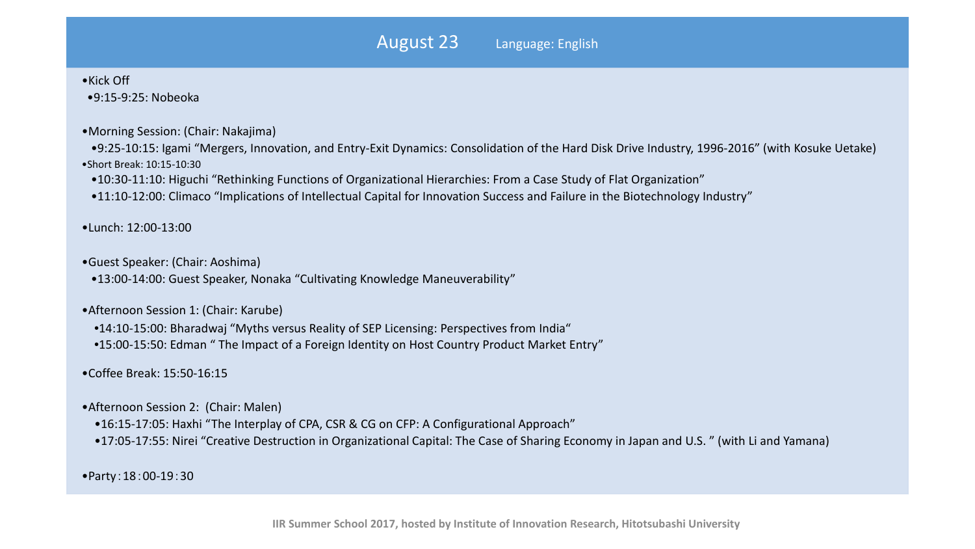## •Kick Off

•9:15-9:25: Nobeoka

•Morning Session: (Chair: Nakajima)

•9:25-10:15: Igami "Mergers, Innovation, and Entry-Exit Dynamics: Consolidation of the Hard Disk Drive Industry, 1996-2016" (with Kosuke Uetake) •Short Break: 10:15-10:30

•10:30-11:10: Higuchi "Rethinking Functions of Organizational Hierarchies: From a Case Study of Flat Organization"

•11:10-12:00: Climaco "Implications of Intellectual Capital for Innovation Success and Failure in the Biotechnology Industry"

## •Lunch: 12:00-13:00

•Guest Speaker: (Chair: Aoshima)

•13:00-14:00: Guest Speaker, Nonaka "Cultivating Knowledge Maneuverability"

•Afternoon Session 1: (Chair: Karube)

•14:10-15:00: Bharadwaj "Myths versus Reality of SEP Licensing: Perspectives from India"

•15:00-15:50: Edman " The Impact of a Foreign Identity on Host Country Product Market Entry"

•Coffee Break: 15:50-16:15

- •Afternoon Session 2: (Chair: Malen)
	- •16:15-17:05: Haxhi "The Interplay of CPA, CSR & CG on CFP: A Configurational Approach"
	- •17:05-17:55: Nirei "Creative Destruction in Organizational Capital: The Case of Sharing Economy in Japan and U.S. " (with Li and Yamana)

•Party:18:00-19:30